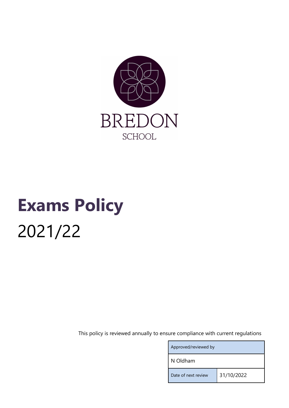

# Exams Policy 2021/22

This policy is reviewed annually to ensure compliance with current regulations

| Approved/reviewed by |            |
|----------------------|------------|
| N Oldham             |            |
| Date of next review  | 31/10/2022 |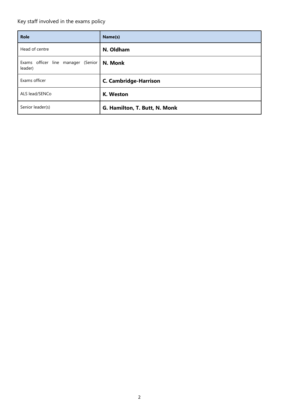# Key staff involved in the exams policy

| <b>Role</b>                                   | Name(s)                       |
|-----------------------------------------------|-------------------------------|
| Head of centre                                | N. Oldham                     |
| Exams officer line manager (Senior<br>leader) | N. Monk                       |
| Exams officer                                 | <b>C. Cambridge-Harrison</b>  |
| ALS lead/SENCo                                | K. Weston                     |
| Senior leader(s)                              | G. Hamilton, T. Butt, N. Monk |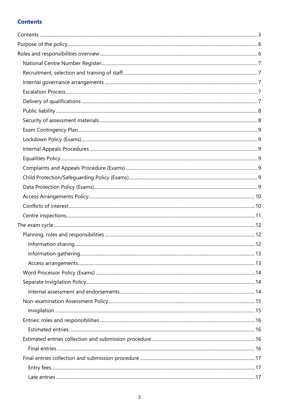# **Contents**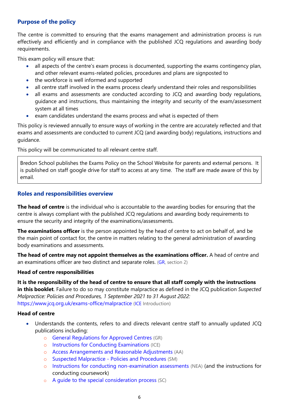# Purpose of the policy

The centre is committed to ensuring that the exams management and administration process is run effectively and efficiently and in compliance with the published JCQ regulations and awarding body requirements.

This exam policy will ensure that:

- all aspects of the centre's exam process is documented, supporting the exams contingency plan, and other relevant exams-related policies, procedures and plans are signposted to
- the workforce is well informed and supported
- all centre staff involved in the exams process clearly understand their roles and responsibilities
- all exams and assessments are conducted according to JCQ and awarding body regulations, guidance and instructions, thus maintaining the integrity and security of the exam/assessment system at all times
- exam candidates understand the exams process and what is expected of them

This policy is reviewed annually to ensure ways of working in the centre are accurately reflected and that exams and assessments are conducted to current JCQ (and awarding body) regulations, instructions and guidance.

This policy will be communicated to all relevant centre staff.

Bredon School publishes the Exams Policy on the School Website for parents and external persons. It is published on staff google drive for staff to access at any time. The staff are made aware of this by email.

## Roles and responsibilities overview

The head of centre is the individual who is accountable to the awarding bodies for ensuring that the centre is always compliant with the published JCQ regulations and awarding body requirements to ensure the security and integrity of the examinations/assessments.

**The examinations officer** is the person appointed by the head of centre to act on behalf of, and be the main point of contact for, the centre in matters relating to the general administration of awarding body examinations and assessments.

The head of centre may not appoint themselves as the examinations officer. A head of centre and an examinations officer are two distinct and separate roles. (GR, section 2)

#### Head of centre responsibilities

It is the responsibility of the head of centre to ensure that all staff comply with the instructions in this booklet. Failure to do so may constitute malpractice as defined in the JCQ publication Suspected Malpractice: Policies and Procedures, 1 September 2021 to 31 August 2022: https://www.jcq.org.uk/exams-office/malpractice (ICE Introduction)

#### Head of centre

- Understands the contents, refers to and directs relevant centre staff to annually updated JCQ publications including:
	- o General Regulations for Approved Centres (GR)
	- o Instructions for Conducting Examinations (ICE)
	- o Access Arrangements and Reasonable Adjustments (AA)
	- o Suspected Malpractice Policies and Procedures (SM)
	- o Instructions for conducting non-examination assessments (NEA) (and the instructions for conducting coursework)
	- o A guide to the special consideration process (SC)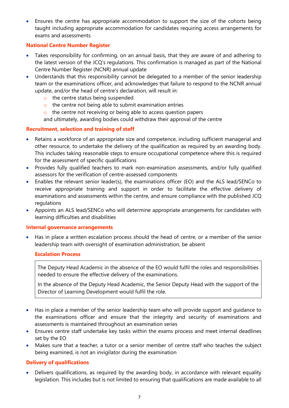Ensures the centre has appropriate accommodation to support the size of the cohorts being taught including appropriate accommodation for candidates requiring access arrangements for exams and assessments

## National Centre Number Register

- Takes responsibility for confirming, on an annual basis, that they are aware of and adhering to the latest version of the JCQ's regulations. This confirmation is managed as part of the National Centre Number Register (NCNR) annual update
- Understands that this responsibility cannot be delegated to a member of the senior leadership team or the examinations officer, and acknowledges that failure to respond to the NCNR annual update, and/or the head of centre's declaration, will result in:
	- o the centre status being suspended
	- o the centre not being able to submit examination entries
	- o the centre not receiving or being able to access question papers

and ultimately, awarding bodies could withdraw their approval of the centre

# Recruitment, selection and training of staff

- Retains a workforce of an appropriate size and competence, including sufficient managerial and other resource, to undertake the delivery of the qualification as required by an awarding body. This includes taking reasonable steps to ensure occupational competence where this is required for the assessment of specific qualifications
- Provides fully qualified teachers to mark non-examination assessments, and/or fully qualified assessors for the verification of centre-assessed components
- Enables the relevant senior leader(s), the examinations officer (EO) and the ALS lead/SENCo to receive appropriate training and support in order to facilitate the effective delivery of examinations and assessments within the centre, and ensure compliance with the published JCQ regulations
- Appoints an ALS lead/SENCo who will determine appropriate arrangements for candidates with learning difficulties and disabilities

## Internal governance arrangements

 Has in place a written escalation process should the head of centre, or a member of the senior leadership team with oversight of examination administration, be absent

## Escalation Process

The Deputy Head Academic in the absence of the EO would fulfil the roles and responsibilities needed to ensure the effective delivery of the examinations.

In the absence of the Deputy Head Academic, the Senior Deputy Head with the support of the Director of Learning Development would fulfil the role.

- Has in place a member of the senior leadership team who will provide support and guidance to the examinations officer and ensure that the integrity and security of examinations and assessments is maintained throughout an examination series
- Ensures centre staff undertake key tasks within the exams process and meet internal deadlines set by the EO
- Makes sure that a teacher, a tutor or a senior member of centre staff who teaches the subject being examined, is not an invigilator during the examination

## Delivery of qualifications

 Delivers qualifications, as required by the awarding body, in accordance with relevant equality legislation. This includes but is not limited to ensuring that qualifications are made available to all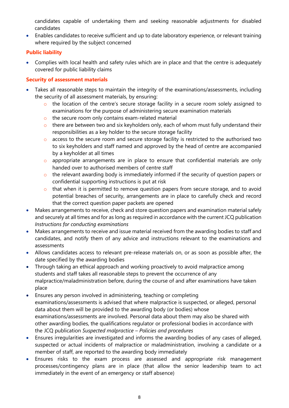candidates capable of undertaking them and seeking reasonable adjustments for disabled candidates

 Enables candidates to receive sufficient and up to date laboratory experience, or relevant training where required by the subject concerned

# Public liability

 Complies with local health and safety rules which are in place and that the centre is adequately covered for public liability claims

# Security of assessment materials

- Takes all reasonable steps to maintain the integrity of the examinations/assessments, including the security of all assessment materials, by ensuring:
	- o the location of the centre's secure storage facility in a secure room solely assigned to examinations for the purpose of administering secure examination materials
	- o the secure room only contains exam-related material
	- o there are between two and six keyholders only, each of whom must fully understand their responsibilities as a key holder to the secure storage facility
	- o access to the secure room and secure storage facility is restricted to the authorised two to six keyholders and staff named and approved by the head of centre are accompanied by a keyholder at all times
	- o appropriate arrangements are in place to ensure that confidential materials are only handed over to authorised members of centre staff
	- o the relevant awarding body is immediately informed if the security of question papers or confidential supporting instructions is put at risk
	- o that when it is permitted to remove question papers from secure storage, and to avoid potential breaches of security, arrangements are in place to carefully check and record that the correct question paper packets are opened
- Makes arrangements to receive, check and store question papers and examination material safely and securely at all times and for as long as required in accordance with the current JCQ publication Instructions for conducting examinations
- Makes arrangements to receive and issue material received from the awarding bodies to staff and candidates, and notify them of any advice and instructions relevant to the examinations and assessments
- Allows candidates access to relevant pre-release materials on, or as soon as possible after, the date specified by the awarding bodies
- Through taking an ethical approach and working proactively to avoid malpractice among students and staff takes all reasonable steps to prevent the occurrence of any malpractice/maladministration before, during the course of and after examinations have taken place
- Ensures any person involved in administering, teaching or completing examinations/assessments is advised that where malpractice is suspected, or alleged, personal data about them will be provided to the awarding body (or bodies) whose examinations/assessments are involved. Personal data about them may also be shared with other awarding bodies, the qualifications regulator or professional bodies in accordance with the JCQ publication Suspected malpractice – Policies and procedures
- Ensures irregularities are investigated and informs the awarding bodies of any cases of alleged, suspected or actual incidents of malpractice or maladministration, involving a candidate or a member of staff, are reported to the awarding body immediately
- Ensures risks to the exam process are assessed and appropriate risk management processes/contingency plans are in place (that allow the senior leadership team to act immediately in the event of an emergency or staff absence)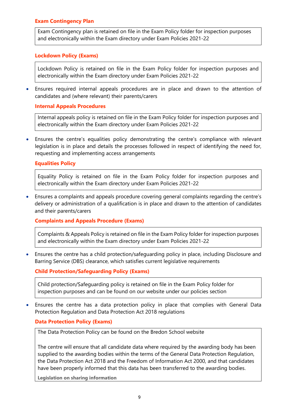## Exam Contingency Plan

Exam Contingency plan is retained on file in the Exam Policy folder for inspection purposes and electronically within the Exam directory under Exam Policies 2021-22

#### Lockdown Policy (Exams)

Lockdown Policy is retained on file in the Exam Policy folder for inspection purposes and electronically within the Exam directory under Exam Policies 2021-22

 Ensures required internal appeals procedures are in place and drawn to the attention of candidates and (where relevant) their parents/carers

#### Internal Appeals Procedures

Internal appeals policy is retained on file in the Exam Policy folder for inspection purposes and electronically within the Exam directory under Exam Policies 2021-22

 Ensures the centre's equalities policy demonstrating the centre's compliance with relevant legislation is in place and details the processes followed in respect of identifying the need for, requesting and implementing access arrangements

#### Equalities Policy

Equality Policy is retained on file in the Exam Policy folder for inspection purposes and electronically within the Exam directory under Exam Policies 2021-22

 Ensures a complaints and appeals procedure covering general complaints regarding the centre's delivery or administration of a qualification is in place and drawn to the attention of candidates and their parents/carers

Complaints and Appeals Procedure (Exams)

Complaints & Appeals Policy is retained on file in the Exam Policy folder for inspection purposes and electronically within the Exam directory under Exam Policies 2021-22

 Ensures the centre has a child protection/safeguarding policy in place, including Disclosure and Barring Service (DBS) clearance, which satisfies current legislative requirements

## Child Protection/Safeguarding Policy (Exams)

Child protection/Safeguarding policy is retained on file in the Exam Policy folder for inspection purposes and can be found on our website under our policies section

 Ensures the centre has a data protection policy in place that complies with General Data Protection Regulation and Data Protection Act 2018 regulations

#### Data Protection Policy (Exams)

The Data Protection Policy can be found on the Bredon School website

The centre will ensure that all candidate data where required by the awarding body has been supplied to the awarding bodies within the terms of the General Data Protection Regulation, the Data Protection Act 2018 and the Freedom of Information Act 2000, and that candidates have been properly informed that this data has been transferred to the awarding bodies.

Legislation on sharing information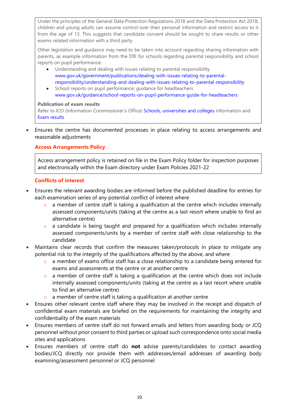Under the principles of the General Data Protection Regulations 2018 and the Data Protection Act 2018, children and young adults can assume control over their personal information and restrict access to it from the age of 13. This suggests that candidate consent should be sought to share results or other exams-related information with a third party.

Other legislation and guidance may need to be taken into account regarding sharing information with parents, as example information from the DfE for schools regarding parental responsibility and school reports on pupil performance:

- Understanding and dealing with issues relating to parental responsibility www.gov.uk/government/publications/dealing-with-issues-relating-to-parentalresponsibility/understanding-and-dealing-with-issues-relating-to-parental-responsibility
- School reports on pupil performance: quidance for headteachers www.gov.uk/guidance/school-reports-on-pupil-performance-guide-for-headteachers

#### Publication of exam results

Refer to ICO (Information Commissioner's Office) Schools, universities and colleges information and Exam results

 Ensures the centre has documented processes in place relating to access arrangements and reasonable adjustments

## Access Arrangements Policy

Access arrangement policy is retained on file in the Exam Policy folder for inspection purposes and electronically within the Exam directory under Exam Policies 2021-22

#### Conflicts of interest

- Ensures the relevant awarding bodies are informed before the published deadline for entries for each examination series of any potential conflict of interest where
	- o a member of centre staff is taking a qualification at the centre which includes internally assessed components/units (taking at the centre as a last resort where unable to find an alternative centre)
	- o a candidate is being taught and prepared for a qualification which includes internally assessed components/units by a member of centre staff with close relationship to the candidate
- Maintains clear records that confirm the measures taken/protocols in place to mitigate any potential risk to the integrity of the qualifications affected by the above, and where
	- o a member of exams office staff has a close relationship to a candidate being entered for exams and assessments at the centre or at another centre
	- o a member of centre staff is taking a qualification at the centre which does not include internally assessed components/units (taking at the centre as a last resort where unable to find an alternative centre)
	- $\circ$  a member of centre staff is taking a qualification at another centre
- Ensures other relevant centre staff where they may be involved in the receipt and dispatch of confidential exam materials are briefed on the requirements for maintaining the integrity and confidentiality of the exam materials
- Ensures members of centre staff do not forward emails and letters from awarding body or JCQ personnel without prior consent to third parties or upload such correspondence onto social media sites and applications
- Ensures members of centre staff do not advise parents/candidates to contact awarding bodies/JCQ directly nor provide them with addresses/email addresses of awarding body examining/assessment personnel or JCQ personnel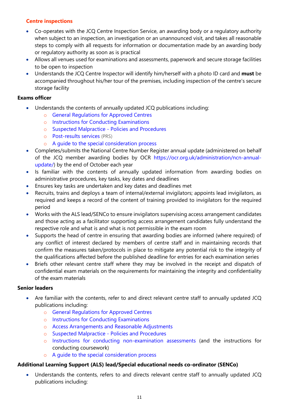# Centre inspections

- Co-operates with the JCQ Centre Inspection Service, an awarding body or a regulatory authority when subject to an inspection, an investigation or an unannounced visit, and takes all reasonable steps to comply with all requests for information or documentation made by an awarding body or regulatory authority as soon as is practical
- Allows all venues used for examinations and assessments, paperwork and secure storage facilities to be open to inspection
- Understands the JCQ Centre Inspector will identify him/herself with a photo ID card and must be accompanied throughout his/her tour of the premises, including inspection of the centre's secure storage facility

## Exams officer

- Understands the contents of annually updated JCQ publications including:
	- o General Regulations for Approved Centres
	- o Instructions for Conducting Examinations
	- o Suspected Malpractice Policies and Procedures
	- o Post-results services (PRS)
	- o A guide to the special consideration process
- Completes/submits the National Centre Number Register annual update (administered on behalf of the JCQ member awarding bodies by OCR https://ocr.org.uk/administration/ncn-annualupdate/) by the end of October each year
- Is familiar with the contents of annually updated information from awarding bodies on administrative procedures, key tasks, key dates and deadlines
- Ensures key tasks are undertaken and key dates and deadlines met
- Recruits, trains and deploys a team of internal/external invigilators; appoints lead invigilators, as required and keeps a record of the content of training provided to invigilators for the required period
- Works with the ALS lead/SENCo to ensure invigilators supervising access arrangement candidates and those acting as a facilitator supporting access arrangement candidates fully understand the respective role and what is and what is not permissible in the exam room
- Supports the head of centre in ensuring that awarding bodies are informed (where required) of any conflict of interest declared by members of centre staff and in maintaining records that confirm the measures taken/protocols in place to mitigate any potential risk to the integrity of the qualifications affected before the published deadline for entries for each examination series
- Briefs other relevant centre staff where they may be involved in the receipt and dispatch of confidential exam materials on the requirements for maintaining the integrity and confidentiality of the exam materials

## Senior leaders

- Are familiar with the contents, refer to and direct relevant centre staff to annually updated JCQ publications including:
	- o General Regulations for Approved Centres
	- o Instructions for Conducting Examinations
	- o Access Arrangements and Reasonable Adjustments
	- o Suspected Malpractice Policies and Procedures
	- o Instructions for conducting non-examination assessments (and the instructions for conducting coursework)
	- o A guide to the special consideration process

# Additional Learning Support (ALS) lead/Special educational needs co-ordinator (SENCo)

 Understands the contents, refers to and directs relevant centre staff to annually updated JCQ publications including: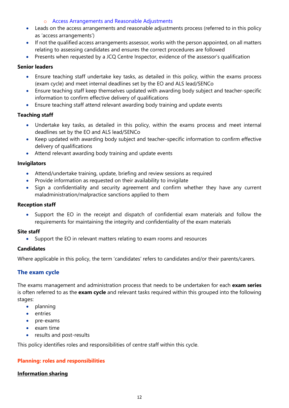## o Access Arrangements and Reasonable Adjustments

- Leads on the access arrangements and reasonable adjustments process (referred to in this policy as 'access arrangements')
- If not the qualified access arrangements assessor, works with the person appointed, on all matters relating to assessing candidates and ensures the correct procedures are followed
- Presents when requested by a JCQ Centre Inspector, evidence of the assessor's qualification

## Senior leaders

- Ensure teaching staff undertake key tasks, as detailed in this policy, within the exams process (exam cycle) and meet internal deadlines set by the EO and ALS lead/SENCo
- Ensure teaching staff keep themselves updated with awarding body subject and teacher-specific information to confirm effective delivery of qualifications
- Ensure teaching staff attend relevant awarding body training and update events

## Teaching staff

- Undertake key tasks, as detailed in this policy, within the exams process and meet internal deadlines set by the EO and ALS lead/SENCo
- Keep updated with awarding body subject and teacher-specific information to confirm effective delivery of qualifications
- Attend relevant awarding body training and update events

## Invigilators

- Attend/undertake training, update, briefing and review sessions as required
- Provide information as requested on their availability to invigilate
- Sign a confidentiality and security agreement and confirm whether they have any current maladministration/malpractice sanctions applied to them

#### Reception staff

 Support the EO in the receipt and dispatch of confidential exam materials and follow the requirements for maintaining the integrity and confidentiality of the exam materials

#### Site staff

Support the EO in relevant matters relating to exam rooms and resources

## **Candidates**

Where applicable in this policy, the term 'candidates' refers to candidates and/or their parents/carers.

## The exam cycle

The exams management and administration process that needs to be undertaken for each exam series is often referred to as the exam cycle and relevant tasks required within this grouped into the following stages:

- planning
- entries
- pre-exams
- $\bullet$  exam time
- results and post-results

This policy identifies roles and responsibilities of centre staff within this cycle.

## Planning: roles and responsibilities

## Information sharing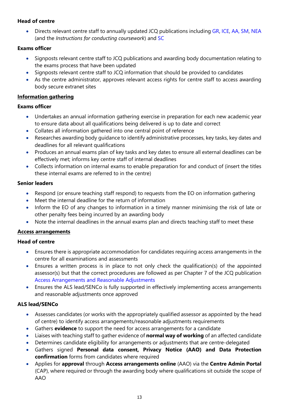# Head of centre

 Directs relevant centre staff to annually updated JCQ publications including GR, ICE, AA, SM, NEA (and the Instructions for conducting coursework) and SC

## Exams officer

- Signposts relevant centre staff to JCQ publications and awarding body documentation relating to the exams process that have been updated
- Signposts relevant centre staff to JCQ information that should be provided to candidates
- As the centre administrator, approves relevant access rights for centre staff to access awarding body secure extranet sites

## Information gathering

## Exams officer

- Undertakes an annual information gathering exercise in preparation for each new academic year to ensure data about all qualifications being delivered is up to date and correct
- Collates all information gathered into one central point of reference
- Researches awarding body guidance to identify administrative processes, key tasks, key dates and deadlines for all relevant qualifications
- Produces an annual exams plan of key tasks and key dates to ensure all external deadlines can be effectively met; informs key centre staff of internal deadlines
- Collects information on internal exams to enable preparation for and conduct of (insert the titles these internal exams are referred to in the centre)

## Senior leaders

- Respond (or ensure teaching staff respond) to requests from the EO on information gathering
- Meet the internal deadline for the return of information
- Inform the EO of any changes to information in a timely manner minimising the risk of late or other penalty fees being incurred by an awarding body
- Note the internal deadlines in the annual exams plan and directs teaching staff to meet these

# Access arrangements

# Head of centre

- Ensures there is appropriate accommodation for candidates requiring access arrangements in the centre for all examinations and assessments
- Ensures a written process is in place to not only check the qualification(s) of the appointed assessor(s) but that the correct procedures are followed as per Chapter 7 of the JCQ publication Access Arrangements and Reasonable Adjustments
- Ensures the ALS lead/SENCo is fully supported in effectively implementing access arrangements and reasonable adjustments once approved

# ALS lead/SENCo

- Assesses candidates (or works with the appropriately qualified assessor as appointed by the head of centre) to identify access arrangements/reasonable adjustments requirements
- Gathers evidence to support the need for access arrangements for a candidate
- Liaises with teaching staff to gather evidence of **normal way of working** of an affected candidate
- Determines candidate eligibility for arrangements or adjustments that are centre-delegated
- Gathers signed Personal data consent, Privacy Notice (AAO) and Data Protection confirmation forms from candidates where required
- Applies for approval through Access arrangements online (AAO) via the Centre Admin Portal (CAP), where required or through the awarding body where qualifications sit outside the scope of AAO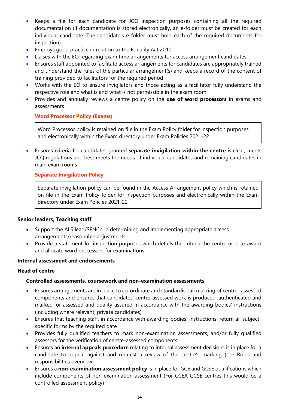- Keeps a file for each candidate for JCQ inspection purposes containing all the required documentation (if documentation is stored electronically, an e-folder must be created for each individual candidate. The candidate's e-folder must hold each of the required documents for inspection)
- Employs good practice in relation to the Equality Act 2010
- Liaises with the EO regarding exam time arrangements for access arrangement candidates
- Ensures staff appointed to facilitate access arrangements for candidates are appropriately trained and understand the rules of the particular arrangement(s) and keeps a record of the content of training provided to facilitators for the required period
- Works with the EO to ensure invigilators and those acting as a facilitator fully understand the respective role and what is and what is not permissible in the exam room
- Provides and annually reviews a centre policy on the use of word processors in exams and assessments

## Word Processor Policy (Exams)

Word Processor policy is retained on file in the Exam Policy folder for inspection purposes and electronically within the Exam directory under Exam Policies 2021-22

 Ensures criteria for candidates granted separate invigilation within the centre is clear, meets JCQ regulations and best meets the needs of individual candidates and remaining candidates in main exam rooms

## Separate Invigilation Policy

Separate invigilation policy can be found in the Access Arrangement policy which is retained on file in the Exam Policy folder for inspection purposes and electronically within the Exam directory under Exam Policies 2021-22

## Senior leaders, Teaching staff

- Support the ALS lead/SENCo in determining and implementing appropriate access arrangements/reasonable adjustments
- Provide a statement for inspection purposes which details the criteria the centre uses to award and allocate word processors for examinations

#### Internal assessment and endorsements

## Head of centre

## Controlled assessments, coursework and non-examination assessments

- Ensures arrangements are in place to co-ordinate and standardise all marking of centre- assessed components and ensures that candidates' centre-assessed work is produced, authenticated and marked, or assessed and quality assured in accordance with the awarding bodies' instructions (including where relevant, private candidates)
- Ensures that teaching staff, in accordance with awarding bodies' instructions, return all subjectspecific forms by the required date
- Provides fully qualified teachers to mark non-examination assessments, and/or fully qualified assessors for the verification of centre-assessed components
- Ensures an internal appeals procedure relating to internal assessment decisions is in place for a candidate to appeal against and request a review of the centre's marking (see Roles and responsibilities overview)
- Ensures a non-examination assessment policy is in place for GCE and GCSE qualifications which include components of non-examination assessment (For CCEA GCSE centres this would be a controlled assessment policy)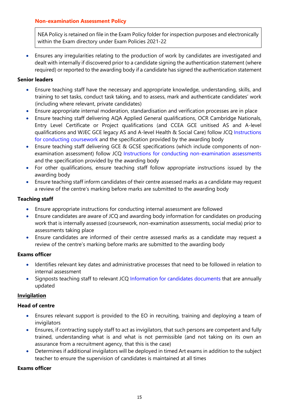## Non-examination Assessment Policy

NEA Policy is retained on file in the Exam Policy folder for inspection purposes and electronically within the Exam directory under Exam Policies 2021-22

 Ensures any irregularities relating to the production of work by candidates are investigated and dealt with internally if discovered prior to a candidate signing the authentication statement (where required) or reported to the awarding body if a candidate has signed the authentication statement

## Senior leaders

- Ensure teaching staff have the necessary and appropriate knowledge, understanding, skills, and training to set tasks, conduct task taking, and to assess, mark and authenticate candidates' work (including where relevant, private candidates)
- Ensure appropriate internal moderation, standardisation and verification processes are in place
- Ensure teaching staff delivering AQA Applied General qualifications, OCR Cambridge Nationals, Entry Level Certificate or Project qualifications (and CCEA GCE unitised AS and A-level qualifications and WJEC GCE legacy AS and A-level Health & Social Care) follow JCQ Instructions for conducting coursework and the specification provided by the awarding body
- Ensure teaching staff delivering GCE & GCSE specifications (which include components of nonexamination assessment) follow JCQ Instructions for conducting non-examination assessments and the specification provided by the awarding body
- For other qualifications, ensure teaching staff follow appropriate instructions issued by the awarding body
- Ensure teaching staff inform candidates of their centre assessed marks as a candidate may request a review of the centre's marking before marks are submitted to the awarding body

## Teaching staff

- Ensure appropriate instructions for conducting internal assessment are followed
- Ensure candidates are aware of JCQ and awarding body information for candidates on producing work that is internally assessed (coursework, non-examination assessments, social media) prior to assessments taking place
- Ensure candidates are informed of their centre assessed marks as a candidate may request a review of the centre's marking before marks are submitted to the awarding body

## Exams officer

- Identifies relevant key dates and administrative processes that need to be followed in relation to internal assessment
- Signposts teaching staff to relevant JCQ Information for candidates documents that are annually updated

## Invigilation

## Head of centre

- Ensures relevant support is provided to the EO in recruiting, training and deploying a team of invigilators
- Ensures, if contracting supply staff to act as invigilators, that such persons are competent and fully trained, understanding what is and what is not permissible (and not taking on its own an assurance from a recruitment agency, that this is the case)
- Determines if additional invigilators will be deployed in timed Art exams in addition to the subject teacher to ensure the supervision of candidates is maintained at all times

## Exams officer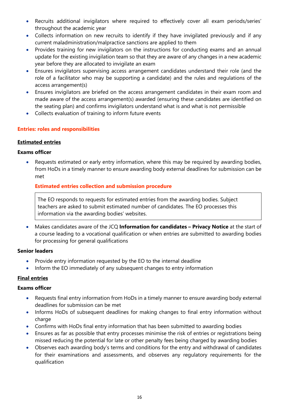- Recruits additional invigilators where required to effectively cover all exam periods/series' throughout the academic year
- Collects information on new recruits to identify if they have invigilated previously and if any current maladministration/malpractice sanctions are applied to them
- Provides training for new invigilators on the instructions for conducting exams and an annual update for the existing invigilation team so that they are aware of any changes in a new academic year before they are allocated to invigilate an exam
- Ensures invigilators supervising access arrangement candidates understand their role (and the role of a facilitator who may be supporting a candidate) and the rules and regulations of the access arrangement(s)
- Ensures invigilators are briefed on the access arrangement candidates in their exam room and made aware of the access arrangement(s) awarded (ensuring these candidates are identified on the seating plan) and confirms invigilators understand what is and what is not permissible
- Collects evaluation of training to inform future events

## Entries: roles and responsibilities

## Estimated entries

## Exams officer

 Requests estimated or early entry information, where this may be required by awarding bodies, from HoDs in a timely manner to ensure awarding body external deadlines for submission can be met

## Estimated entries collection and submission procedure

The EO responds to requests for estimated entries from the awarding bodies. Subject teachers are asked to submit estimated number of candidates. The EO processes this information via the awarding bodies' websites.

• Makes candidates aware of the JCQ Information for candidates – Privacy Notice at the start of a course leading to a vocational qualification or when entries are submitted to awarding bodies for processing for general qualifications

## Senior leaders

- Provide entry information requested by the EO to the internal deadline
- Inform the EO immediately of any subsequent changes to entry information

## Final entries

## Exams officer

- Requests final entry information from HoDs in a timely manner to ensure awarding body external deadlines for submission can be met
- Informs HoDs of subsequent deadlines for making changes to final entry information without charge
- Confirms with HoDs final entry information that has been submitted to awarding bodies
- Ensures as far as possible that entry processes minimise the risk of entries or registrations being missed reducing the potential for late or other penalty fees being charged by awarding bodies
- Observes each awarding body's terms and conditions for the entry and withdrawal of candidates for their examinations and assessments, and observes any regulatory requirements for the qualification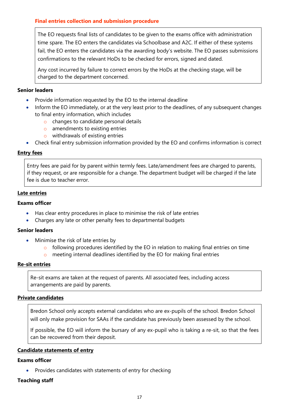# Final entries collection and submission procedure

The EO requests final lists of candidates to be given to the exams office with administration time spare. The EO enters the candidates via Schoolbase and A2C. If either of these systems fail, the EO enters the candidates via the awarding body's website. The EO passes submissions confirmations to the relevant HoDs to be checked for errors, signed and dated.

Any cost incurred by failure to correct errors by the HoDs at the checking stage, will be charged to the department concerned.

#### Senior leaders

- Provide information requested by the EO to the internal deadline
- Inform the EO immediately, or at the very least prior to the deadlines, of any subsequent changes to final entry information, which includes
	- o changes to candidate personal details
	- o amendments to existing entries
	- o withdrawals of existing entries
- Check final entry submission information provided by the EO and confirms information is correct

#### Entry fees

Entry fees are paid for by parent within termly fees. Late/amendment fees are charged to parents, if they request, or are responsible for a change. The department budget will be charged if the late fee is due to teacher error.

#### Late entries

#### Exams officer

- Has clear entry procedures in place to minimise the risk of late entries
- Charges any late or other penalty fees to departmental budgets

#### Senior leaders

- Minimise the risk of late entries by
	- o following procedures identified by the EO in relation to making final entries on time
	- o meeting internal deadlines identified by the EO for making final entries

#### Re-sit entries

Re-sit exams are taken at the request of parents. All associated fees, including access arrangements are paid by parents.

#### Private candidates

Bredon School only accepts external candidates who are ex-pupils of the school. Bredon School will only make provision for SAAs if the candidate has previously been assessed by the school.

If possible, the EO will inform the bursary of any ex-pupil who is taking a re-sit, so that the fees can be recovered from their deposit.

#### Candidate statements of entry

#### Exams officer

Provides candidates with statements of entry for checking

#### Teaching staff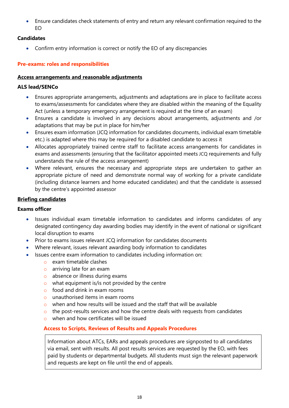Ensure candidates check statements of entry and return any relevant confirmation required to the EO

## **Candidates**

Confirm entry information is correct or notify the EO of any discrepancies

# Pre-exams: roles and responsibilities

#### Access arrangements and reasonable adjustments

## ALS lead/SENCo

- Ensures appropriate arrangements, adjustments and adaptations are in place to facilitate access to exams/assessments for candidates where they are disabled within the meaning of the Equality Act (unless a temporary emergency arrangement is required at the time of an exam)
- Ensures a candidate is involved in any decisions about arrangements, adjustments and /or adaptations that may be put in place for him/her
- Ensures exam information (JCQ information for candidates documents, individual exam timetable etc.) is adapted where this may be required for a disabled candidate to access it
- Allocates appropriately trained centre staff to facilitate access arrangements for candidates in exams and assessments (ensuring that the facilitator appointed meets JCQ requirements and fully understands the rule of the access arrangement)
- Where relevant, ensures the necessary and appropriate steps are undertaken to gather an appropriate picture of need and demonstrate normal way of working for a private candidate (including distance learners and home educated candidates) and that the candidate is assessed by the centre's appointed assessor

## Briefing candidates

## Exams officer

- Issues individual exam timetable information to candidates and informs candidates of any designated contingency day awarding bodies may identify in the event of national or significant local disruption to exams
- Prior to exams issues relevant JCQ information for candidates documents
- Where relevant, issues relevant awarding body information to candidates
- Issues centre exam information to candidates including information on:
	- o exam timetable clashes
	- o arriving late for an exam
	- o absence or illness during exams
	- $\circ$  what equipment is/is not provided by the centre
	- $\circ$  food and drink in exam rooms
	- o unauthorised items in exam rooms
	- o when and how results will be issued and the staff that will be available
	- $\circ$  the post-results services and how the centre deals with requests from candidates
	- o when and how certificates will be issued

## Access to Scripts, Reviews of Results and Appeals Procedures

Information about ATCs, EARs and appeals procedures are signposted to all candidates via email, sent with results. All post results services are requested by the EO, with fees paid by students or departmental budgets. All students must sign the relevant paperwork and requests are kept on file until the end of appeals.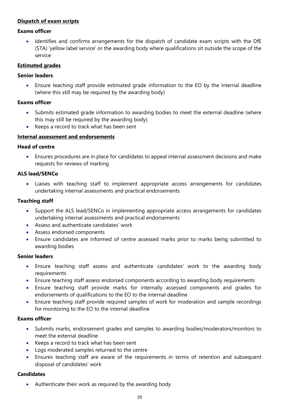## Dispatch of exam scripts

#### Exams officer

 Identifies and confirms arrangements for the dispatch of candidate exam scripts with the DfE (STA) 'yellow label service' or the awarding body where qualifications sit outside the scope of the service

#### Estimated grades

#### Senior leaders

 Ensure teaching staff provide estimated grade information to the EO by the internal deadline (where this still may be required by the awarding body)

#### Exams officer

- Submits estimated grade information to awarding bodies to meet the external deadline (where this may still be required by the awarding body)
- Keeps a record to track what has been sent

#### Internal assessment and endorsements

#### Head of centre

 Ensures procedures are in place for candidates to appeal internal assessment decisions and make requests for reviews of marking

#### ALS lead/SENCo

 Liaises with teaching staff to implement appropriate access arrangements for candidates undertaking internal assessments and practical endorsements

#### Teaching staff

- Support the ALS lead/SENCo in implementing appropriate access arrangements for candidates undertaking internal assessments and practical endorsements
- Assess and authenticate candidates' work
- Assess endorsed components
- Ensure candidates are informed of centre assessed marks prior to marks being submitted to awarding bodies

#### Senior leaders

- Ensure teaching staff assess and authenticate candidates' work to the awarding body requirements
- Ensure teaching staff assess endorsed components according to awarding body requirements
- Ensure teaching staff provide marks for internally assessed components and grades for endorsements of qualifications to the EO to the internal deadline
- Ensure teaching staff provide required samples of work for moderation and sample recordings for monitoring to the EO to the internal deadline

#### Exams officer

- Submits marks, endorsement grades and samples to awarding bodies/moderators/monitors to meet the external deadline
- Keeps a record to track what has been sent
- Logs moderated samples returned to the centre
- Ensures teaching staff are aware of the requirements in terms of retention and subsequent disposal of candidates' work

## **Candidates**

Authenticate their work as required by the awarding body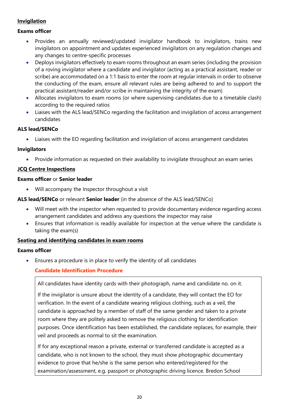## **Invigilation**

## Exams officer

- Provides an annually reviewed/updated invigilator handbook to invigilators, trains new invigilators on appointment and updates experienced invigilators on any regulation changes and any changes to centre-specific processes
- Deploys invigilators effectively to exam rooms throughout an exam series (including the provision of a roving invigilator where a candidate and invigilator (acting as a practical assistant, reader or scribe) are accommodated on a 1:1 basis to enter the room at regular intervals in order to observe the conducting of the exam, ensure all relevant rules are being adhered to and to support the practical assistant/reader and/or scribe in maintaining the integrity of the exam)
- Allocates invigilators to exam rooms (or where supervising candidates due to a timetable clash) according to the required ratios
- Liaises with the ALS lead/SENCo regarding the facilitation and invigilation of access arrangement candidates

## ALS lead/SENCo

Liaises with the EO regarding facilitation and invigilation of access arrangement candidates

## Invigilators

• Provide information as requested on their availability to invigilate throughout an exam series

# JCQ Centre Inspections

## Exams officer or Senior leader

Will accompany the Inspector throughout a visit

## ALS lead/SENCo or relevant Senior leader (in the absence of the ALS lead/SENCo)

- Will meet with the inspector when requested to provide documentary evidence regarding access arrangement candidates and address any questions the inspector may raise
- Ensures that information is readily available for inspection at the venue where the candidate is taking the exam(s)

## Seating and identifying candidates in exam rooms

## Exams officer

Ensures a procedure is in place to verify the identity of all candidates

## Candidate Identification Procedure

All candidates have identity cards with their photograph, name and candidate no. on it.

If the invigilator is unsure about the identity of a candidate, they will contact the EO for verification. In the event of a candidate wearing religious clothing, such as a veil, the candidate is approached by a member of staff of the same gender and taken to a private room where they are politely asked to remove the religious clothing for identification purposes. Once identification has been established, the candidate replaces, for example, their veil and proceeds as normal to sit the examination.

If for any exceptional reason a private, external or transferred candidate is accepted as a candidate, who is not known to the school, they must show photographic documentary evidence to prove that he/she is the same person who entered/registered for the examination/assessment, e.g. passport or photographic driving licence. Bredon School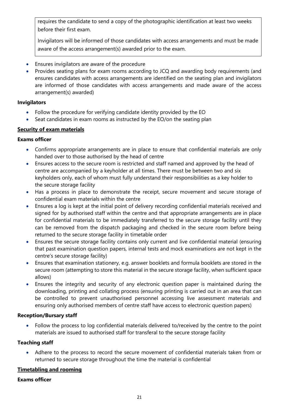requires the candidate to send a copy of the photographic identification at least two weeks before their first exam.

Invigilators will be informed of those candidates with access arrangements and must be made aware of the access arrangement(s) awarded prior to the exam.

- Ensures invigilators are aware of the procedure
- Provides seating plans for exam rooms according to JCQ and awarding body requirements (and ensures candidates with access arrangements are identified on the seating plan and invigilators are informed of those candidates with access arrangements and made aware of the access arrangement(s) awarded)

## Invigilators

- Follow the procedure for verifying candidate identity provided by the EO
- Seat candidates in exam rooms as instructed by the EO/on the seating plan

## Security of exam materials

## Exams officer

- Confirms appropriate arrangements are in place to ensure that confidential materials are only handed over to those authorised by the head of centre
- Ensures access to the secure room is restricted and staff named and approved by the head of centre are accompanied by a keyholder at all times. There must be between two and six keyholders only, each of whom must fully understand their responsibilities as a key holder to the secure storage facility
- Has a process in place to demonstrate the receipt, secure movement and secure storage of confidential exam materials within the centre
- Ensures a log is kept at the initial point of delivery recording confidential materials received and signed for by authorised staff within the centre and that appropriate arrangements are in place for confidential materials to be immediately transferred to the secure storage facility until they can be removed from the dispatch packaging and checked in the secure room before being returned to the secure storage facility in timetable order
- Ensures the secure storage facility contains only current and live confidential material (ensuring that past examination question papers, internal tests and mock examinations are not kept in the centre's secure storage facility)
- Ensures that examination stationery, e.g. answer booklets and formula booklets are stored in the secure room (attempting to store this material in the secure storage facility, when sufficient space allows)
- Ensures the integrity and security of any electronic question paper is maintained during the downloading, printing and collating process (ensuring printing is carried out in an area that can be controlled to prevent unauthorised personnel accessing live assessment materials and ensuring only authorised members of centre staff have access to electronic question papers)

## Reception/Bursary staff

 Follow the process to log confidential materials delivered to/received by the centre to the point materials are issued to authorised staff for transferal to the secure storage facility

## Teaching staff

 Adhere to the process to record the secure movement of confidential materials taken from or returned to secure storage throughout the time the material is confidential

## Timetabling and rooming

#### Exams officer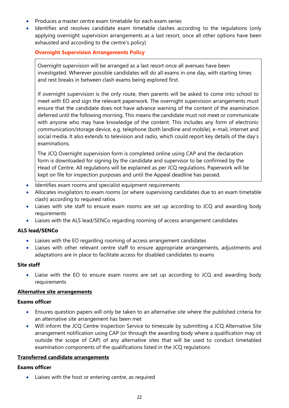- Produces a master centre exam timetable for each exam series
- Identifies and resolves candidate exam timetable clashes according to the regulations (only applying overnight supervision arrangements as a last resort, once all other options have been exhausted and according to the centre's policy)

#### Overnight Supervision Arrangements Policy

Overnight supervision will be arranged as a last resort once all avenues have been investigated. Wherever possible candidates will do all exams in one day, with starting times and rest breaks in between clash exams being explored first.

If overnight supervision is the only route, then parents will be asked to come into school to meet with EO and sign the relevant paperwork. The overnight supervision arrangements must ensure that the candidate does not have advance warning of the content of the examination deferred until the following morning. This means the candidate must not meet or communicate with anyone who may have knowledge of the content. This includes any form of electronic communication/storage device, e.g. telephone (both landline and mobile), e-mail, internet and social media. It also extends to television and radio, which could report key details of the day's examinations.

The JCQ Overnight supervision form is completed online using CAP and the declaration form is downloaded for signing by the candidate and supervisor to be confirmed by the Head of Centre. All regulations will be explained as per JCQ regulations. Paperwork will be kept on file for inspection purposes and until the Appeal deadline has passed.

- Identifies exam rooms and specialist equipment requirements
- Allocates invigilators to exam rooms (or where supervising candidates due to an exam timetable clash) according to required ratios
- Liaises with site staff to ensure exam rooms are set up according to JCQ and awarding body requirements
- Liaises with the ALS lead/SENCo regarding rooming of access arrangement candidates

#### ALS lead/SENCo

- Liaises with the EO regarding rooming of access arrangement candidates
- Liaises with other relevant centre staff to ensure appropriate arrangements, adjustments and adaptations are in place to facilitate access for disabled candidates to exams

#### Site staff

 Liaise with the EO to ensure exam rooms are set up according to JCQ and awarding body requirements

#### Alternative site arrangements

#### Exams officer

- Ensures question papers will only be taken to an alternative site where the published criteria for an alternative site arrangement has been met
- Will inform the JCQ Centre Inspection Service to timescale by submitting a JCQ Alternative Site arrangement notification using CAP (or through the awarding body where a qualification may sit outside the scope of CAP) of any alternative sites that will be used to conduct timetabled examination components of the qualifications listed in the JCQ regulations

#### Transferred candidate arrangements

#### Exams officer

• Liaises with the host or entering centre, as required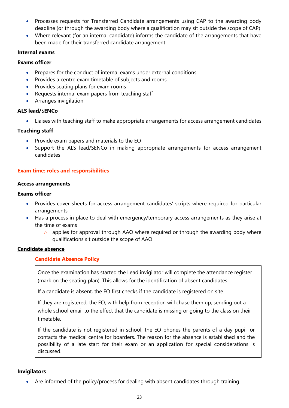- Processes requests for Transferred Candidate arrangements using CAP to the awarding body deadline (or through the awarding body where a qualification may sit outside the scope of CAP)
- Where relevant (for an internal candidate) informs the candidate of the arrangements that have been made for their transferred candidate arrangement

## Internal exams

## Exams officer

- Prepares for the conduct of internal exams under external conditions
- Provides a centre exam timetable of subjects and rooms
- Provides seating plans for exam rooms
- Requests internal exam papers from teaching staff
- Arranges invigilation

## ALS lead/SENCo

Liaises with teaching staff to make appropriate arrangements for access arrangement candidates

# Teaching staff

- Provide exam papers and materials to the EO
- Support the ALS lead/SENCo in making appropriate arrangements for access arrangement candidates

## Exam time: roles and responsibilities

## Access arrangements

## Exams officer

- Provides cover sheets for access arrangement candidates' scripts where required for particular arrangements
- Has a process in place to deal with emergency/temporary access arrangements as they arise at the time of exams
	- o applies for approval through AAO where required or through the awarding body where qualifications sit outside the scope of AAO

## Candidate absence

# Candidate Absence Policy

Once the examination has started the Lead invigilator will complete the attendance register (mark on the seating plan). This allows for the identification of absent candidates.

If a candidate is absent, the EO first checks if the candidate is registered on site.

If they are registered, the EO, with help from reception will chase them up, sending out a whole school email to the effect that the candidate is missing or going to the class on their timetable.

If the candidate is not registered in school, the EO phones the parents of a day pupil, or contacts the medical centre for boarders. The reason for the absence is established and the possibility of a late start for their exam or an application for special considerations is discussed.

#### Invigilators

Are informed of the policy/process for dealing with absent candidates through training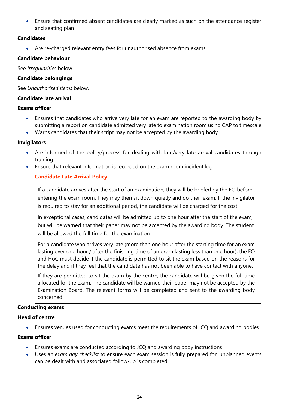Ensure that confirmed absent candidates are clearly marked as such on the attendance register and seating plan

## Candidates

Are re-charged relevant entry fees for unauthorised absence from exams

## Candidate behaviour

See Irregularities below.

## Candidate belongings

See Unauthorised items below.

## Candidate late arrival

#### Exams officer

- Ensures that candidates who arrive very late for an exam are reported to the awarding body by submitting a report on candidate admitted very late to examination room using CAP to timescale
- Warns candidates that their script may not be accepted by the awarding body

## Invigilators

- Are informed of the policy/process for dealing with late/very late arrival candidates through training
- Ensure that relevant information is recorded on the exam room incident log

# Candidate Late Arrival Policy

If a candidate arrives after the start of an examination, they will be briefed by the EO before entering the exam room. They may then sit down quietly and do their exam. If the invigilator is required to stay for an additional period, the candidate will be charged for the cost.

In exceptional cases, candidates will be admitted up to one hour after the start of the exam, but will be warned that their paper may not be accepted by the awarding body. The student will be allowed the full time for the examination

For a candidate who arrives very late (more than one hour after the starting time for an exam lasting over one hour / after the finishing time of an exam lasting less than one hour), the EO and HoC must decide if the candidate is permitted to sit the exam based on the reasons for the delay and if they feel that the candidate has not been able to have contact with anyone.

If they are permitted to sit the exam by the centre, the candidate will be given the full time allocated for the exam. The candidate will be warned their paper may not be accepted by the Examination Board. The relevant forms will be completed and sent to the awarding body concerned.

## Conducting exams

## Head of centre

Ensures venues used for conducting exams meet the requirements of JCQ and awarding bodies

## Exams officer

- Ensures exams are conducted according to JCQ and awarding body instructions
- Uses an exam day checklist to ensure each exam session is fully prepared for, unplanned events can be dealt with and associated follow-up is completed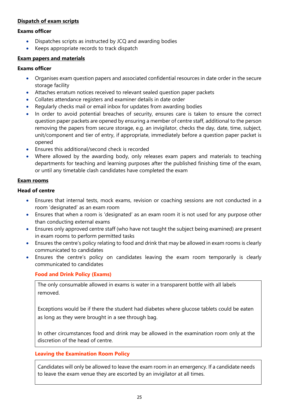## Dispatch of exam scripts

#### Exams officer

- Dispatches scripts as instructed by JCQ and awarding bodies
- Keeps appropriate records to track dispatch

#### Exam papers and materials

#### Exams officer

- Organises exam question papers and associated confidential resources in date order in the secure storage facility
- Attaches erratum notices received to relevant sealed question paper packets
- Collates attendance registers and examiner details in date order
- Regularly checks mail or email inbox for updates from awarding bodies
- In order to avoid potential breaches of security, ensures care is taken to ensure the correct question paper packets are opened by ensuring a member of centre staff, additional to the person removing the papers from secure storage, e.g. an invigilator, checks the day, date, time, subject, unit/component and tier of entry, if appropriate, immediately before a question paper packet is opened
- Ensures this additional/second check is recorded
- Where allowed by the awarding body, only releases exam papers and materials to teaching departments for teaching and learning purposes after the published finishing time of the exam, or until any timetable clash candidates have completed the exam

#### Exam rooms

## Head of centre

- Ensures that internal tests, mock exams, revision or coaching sessions are not conducted in a room 'designated' as an exam room
- Ensures that when a room is 'designated' as an exam room it is not used for any purpose other than conducting external exams
- Ensures only approved centre staff (who have not taught the subject being examined) are present in exam rooms to perform permitted tasks
- Ensures the centre's policy relating to food and drink that may be allowed in exam rooms is clearly communicated to candidates
- Ensures the centre's policy on candidates leaving the exam room temporarily is clearly communicated to candidates

## Food and Drink Policy (Exams)

The only consumable allowed in exams is water in a transparent bottle with all labels removed.

Exceptions would be if there the student had diabetes where glucose tablets could be eaten as long as they were brought in a see through bag.

In other circumstances food and drink may be allowed in the examination room only at the discretion of the head of centre.

## Leaving the Examination Room Policy

Candidates will only be allowed to leave the exam room in an emergency. If a candidate needs to leave the exam venue they are escorted by an invigilator at all times.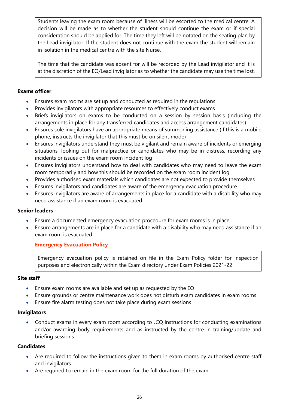Students leaving the exam room because of illness will be escorted to the medical centre. A decision will be made as to whether the student should continue the exam or if special consideration should be applied for. The time they left will be notated on the seating plan by the Lead invigilator. If the student does not continue with the exam the student will remain in isolation in the medical centre with the site Nurse.

The time that the candidate was absent for will be recorded by the Lead invigilator and it is at the discretion of the EO/Lead invigilator as to whether the candidate may use the time lost.

## Exams officer

- Ensures exam rooms are set up and conducted as required in the regulations
- Provides invigilators with appropriate resources to effectively conduct exams
- Briefs invigilators on exams to be conducted on a session by session basis (including the arrangements in place for any transferred candidates and access arrangement candidates)
- Ensures sole invigilators have an appropriate means of summoning assistance (if this is a mobile phone, instructs the invigilator that this must be on silent mode)
- Ensures invigilators understand they must be vigilant and remain aware of incidents or emerging situations, looking out for malpractice or candidates who may be in distress, recording any incidents or issues on the exam room incident log
- Ensures invigilators understand how to deal with candidates who may need to leave the exam room temporarily and how this should be recorded on the exam room incident log
- Provides authorised exam materials which candidates are not expected to provide themselves
- Ensures invigilators and candidates are aware of the emergency evacuation procedure
- Ensures invigilators are aware of arrangements in place for a candidate with a disability who may need assistance if an exam room is evacuated

## Senior leaders

- Ensure a documented emergency evacuation procedure for exam rooms is in place
- Ensure arrangements are in place for a candidate with a disability who may need assistance if an exam room is evacuated

## Emergency Evacuation Policy

Emergency evacuation policy is retained on file in the Exam Policy folder for inspection purposes and electronically within the Exam directory under Exam Policies 2021-22

#### Site staff

- Ensure exam rooms are available and set up as requested by the EO
- Ensure grounds or centre maintenance work does not disturb exam candidates in exam rooms
- Ensure fire alarm testing does not take place during exam sessions

## Invigilators

 Conduct exams in every exam room according to JCQ Instructions for conducting examinations and/or awarding body requirements and as instructed by the centre in training/update and briefing sessions

## **Candidates**

- Are required to follow the instructions given to them in exam rooms by authorised centre staff and invigilators
- Are required to remain in the exam room for the full duration of the exam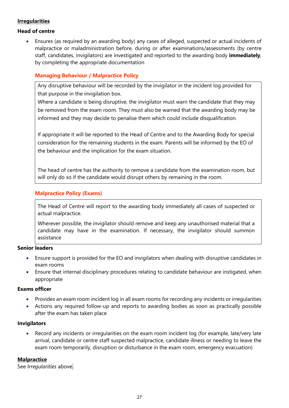## **Irregularities**

#### Head of centre

 Ensures (as required by an awarding body) any cases of alleged, suspected or actual incidents of malpractice or maladministration before, during or after examinations/assessments (by centre staff, candidates, invigilators) are investigated and reported to the awarding body *immediately*, by completing the appropriate documentation

## Managing Behaviour / Malpractice Policy

Any disruptive behaviour will be recorded by the invigilator in the incident log provided for that purpose in the invigilation box.

Where a candidate is being disruptive, the invigilator must warn the candidate that they may be removed from the exam room. They must also be warned that the awarding body may be informed and they may decide to penalise them which could include disqualification.

If appropriate it will be reported to the Head of Centre and to the Awarding Body for special consideration for the remaining students in the exam. Parents will be informed by the EO of the behaviour and the implication for the exam situation.

The head of centre has the authority to remove a candidate from the examination room, but will only do so if the candidate would disrupt others by remaining in the room.

## Malpractice Policy (Exams)

The Head of Centre will report to the awarding body immediately all cases of suspected or actual malpractice.

Wherever possible, the invigilator should remove and keep any unauthorised material that a candidate may have in the examination. If necessary, the invigilator should summon assistance

#### Senior leaders

- Ensure support is provided for the EO and invigilators when dealing with disruptive candidates in exam rooms
- Ensure that internal disciplinary procedures relating to candidate behaviour are instigated, when appropriate

#### Exams officer

- Provides an exam room incident log in all exam rooms for recording any incidents or irregularities
- Actions any required follow-up and reports to awarding bodies as soon as practically possible after the exam has taken place

#### Invigilators

 Record any incidents or irregularities on the exam room incident log (for example, late/very late arrival, candidate or centre staff suspected malpractice, candidate illness or needing to leave the exam room temporarily, disruption or disturbance in the exam room, emergency evacuation)

## **Malpractice**

See Irregularities above.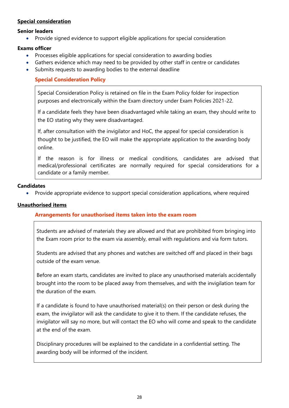## Special consideration

#### Senior leaders

Provide signed evidence to support eligible applications for special consideration

## Exams officer

- Processes eligible applications for special consideration to awarding bodies
- Gathers evidence which may need to be provided by other staff in centre or candidates
- Submits requests to awarding bodies to the external deadline

# Special Consideration Policy

Special Consideration Policy is retained on file in the Exam Policy folder for inspection purposes and electronically within the Exam directory under Exam Policies 2021-22.

If a candidate feels they have been disadvantaged while taking an exam, they should write to the EO stating why they were disadvantaged.

If, after consultation with the invigilator and HoC, the appeal for special consideration is thought to be justified, the EO will make the appropriate application to the awarding body online.

If the reason is for illness or medical conditions, candidates are advised that medical/professional certificates are normally required for special considerations for a candidate or a family member.

#### **Candidates**

Provide appropriate evidence to support special consideration applications, where required

#### Unauthorised items

## Arrangements for unauthorised items taken into the exam room

Students are advised of materials they are allowed and that are prohibited from bringing into the Exam room prior to the exam via assembly, email with regulations and via form tutors.

Students are advised that any phones and watches are switched off and placed in their bags outside of the exam venue.

Before an exam starts, candidates are invited to place any unauthorised materials accidentally brought into the room to be placed away from themselves, and with the invigilation team for the duration of the exam.

If a candidate is found to have unauthorised material(s) on their person or desk during the exam, the invigilator will ask the candidate to give it to them. If the candidate refuses, the invigilator will say no more, but will contact the EO who will come and speak to the candidate at the end of the exam.

Disciplinary procedures will be explained to the candidate in a confidential setting. The awarding body will be informed of the incident.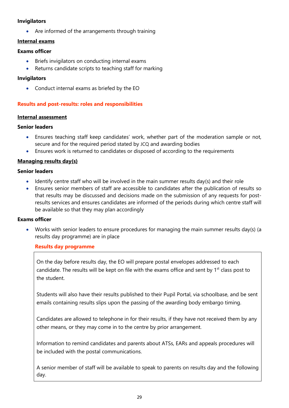#### Invigilators

Are informed of the arrangements through training

#### Internal exams

#### Exams officer

- Briefs invigilators on conducting internal exams
- Returns candidate scripts to teaching staff for marking

#### Invigilators

Conduct internal exams as briefed by the EO

## Results and post-results: roles and responsibilities

#### Internal assessment

#### Senior leaders

- Ensures teaching staff keep candidates' work, whether part of the moderation sample or not, secure and for the required period stated by JCQ and awarding bodies
- Ensures work is returned to candidates or disposed of according to the requirements

#### Managing results day(s)

#### Senior leaders

- Identify centre staff who will be involved in the main summer results day(s) and their role
- Ensures senior members of staff are accessible to candidates after the publication of results so that results may be discussed and decisions made on the submission of any requests for postresults services and ensures candidates are informed of the periods during which centre staff will be available so that they may plan accordingly

#### Exams officer

 Works with senior leaders to ensure procedures for managing the main summer results day(s) (a results day programme) are in place

#### Results day programme

On the day before results day, the EO will prepare postal envelopes addressed to each candidate. The results will be kept on file with the exams office and sent by 1<sup>st</sup> class post to the student.

Students will also have their results published to their Pupil Portal, via schoolbase, and be sent emails containing results slips upon the passing of the awarding body embargo timing.

Candidates are allowed to telephone in for their results, if they have not received them by any other means, or they may come in to the centre by prior arrangement.

Information to remind candidates and parents about ATSs, EARs and appeals procedures will be included with the postal communications.

A senior member of staff will be available to speak to parents on results day and the following day.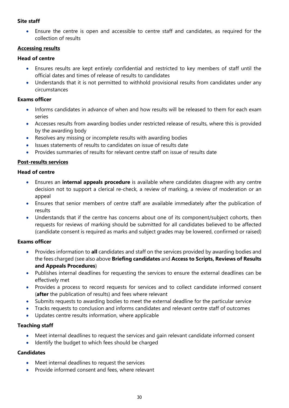## Site staff

 Ensure the centre is open and accessible to centre staff and candidates, as required for the collection of results

## Accessing results

## Head of centre

- Ensures results are kept entirely confidential and restricted to key members of staff until the official dates and times of release of results to candidates
- Understands that it is not permitted to withhold provisional results from candidates under any circumstances

## Exams officer

- Informs candidates in advance of when and how results will be released to them for each exam series
- Accesses results from awarding bodies under restricted release of results, where this is provided by the awarding body
- Resolves any missing or incomplete results with awarding bodies
- Issues statements of results to candidates on issue of results date
- Provides summaries of results for relevant centre staff on issue of results date

## Post-results services

## Head of centre

- **Ensures an internal appeals procedure** is available where candidates disagree with any centre decision not to support a clerical re-check, a review of marking, a review of moderation or an appeal
- Ensures that senior members of centre staff are available immediately after the publication of results
- Understands that if the centre has concerns about one of its component/subject cohorts, then requests for reviews of marking should be submitted for all candidates believed to be affected (candidate consent is required as marks and subject grades may be lowered, confirmed or raised)

## Exams officer

- Provides information to all candidates and staff on the services provided by awarding bodies and the fees charged (see also above Briefing candidates and Access to Scripts, Reviews of Results and Appeals Procedures)
- Publishes internal deadlines for requesting the services to ensure the external deadlines can be effectively met
- Provides a process to record requests for services and to collect candidate informed consent (after the publication of results) and fees where relevant
- Submits requests to awarding bodies to meet the external deadline for the particular service
- Tracks requests to conclusion and informs candidates and relevant centre staff of outcomes
- Updates centre results information, where applicable

## Teaching staff

- Meet internal deadlines to request the services and gain relevant candidate informed consent
- Identify the budget to which fees should be charged

# **Candidates**

- Meet internal deadlines to request the services
- Provide informed consent and fees, where relevant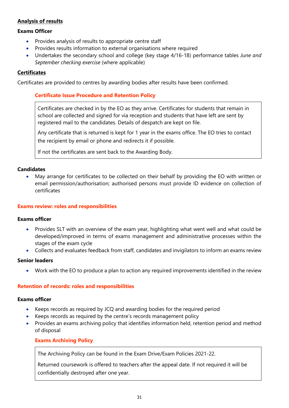# Analysis of results

#### Exams Officer

- Provides analysis of results to appropriate centre staff
- Provides results information to external organisations where required
- Undertakes the secondary school and college (key stage 4/16-18) performance tables June and September checking exercise (where applicable)

#### **Certificates**

Certificates are provided to centres by awarding bodies after results have been confirmed.

#### Certificate Issue Procedure and Retention Policy

Certificates are checked in by the EO as they arrive. Certificates for students that remain in school are collected and signed for via reception and students that have left are sent by registered mail to the candidates. Details of despatch are kept on file.

Any certificate that is returned is kept for 1 year in the exams office. The EO tries to contact the recipient by email or phone and redirects it if possible.

If not the certificates are sent back to the Awarding Body.

#### **Candidates**

 May arrange for certificates to be collected on their behalf by providing the EO with written or email permission/authorisation; authorised persons must provide ID evidence on collection of certificates

#### Exams review: roles and responsibilities

#### Exams officer

- Provides SLT with an overview of the exam year, highlighting what went well and what could be developed/improved in terms of exams management and administrative processes within the stages of the exam cycle
- Collects and evaluates feedback from staff, candidates and invigilators to inform an exams review

#### Senior leaders

Work with the EO to produce a plan to action any required improvements identified in the review

#### Retention of records: roles and responsibilities

#### Exams officer

- Keeps records as required by JCQ and awarding bodies for the required period
- Keeps records as required by the centre's records management policy
- Provides an exams archiving policy that identifies information held, retention period and method of disposal

#### Exams Archiving Policy

The Archiving Policy can be found in the Exam Drive/Exam Policies 2021-22.

Returned coursework is offered to teachers after the appeal date. If not required it will be confidentially destroyed after one year.